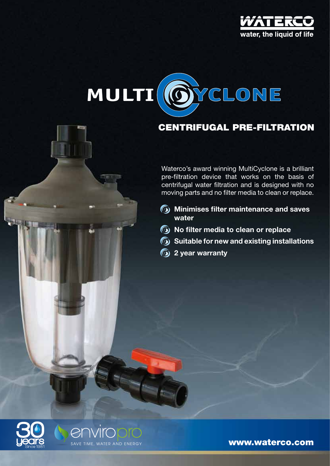



# centrifugal pre-filtration

Waterco's award winning MultiCyclone is a brilliant pre-filtration device that works on the basis of centrifugal water filtration and is designed with no moving parts and no filter media to clean or replace.

- **Minimises filter maintenance and saves water**
- **No filter media to clean or replace**
- **Suitable for new and existing installations**
- **2 year warranty**





www.waterco.com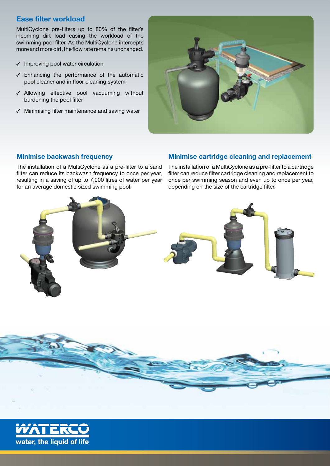## Ease filter workload

MultiCyclone pre-filters up to 80% of the filter's incoming dirt load easing the workload of the swimming pool filter. As the MultiCyclone intercepts more and more dirt, the flow rate remains unchanged.

- $\checkmark$  Improving pool water circulation
- $<sub>z</sub>$  Enhancing the performance of the automatic</sub> pool cleaner and in floor cleaning system
- $J$  Allowing effective pool vacuuming without burdening the pool filter
- $\checkmark$  Minimising filter maintenance and saving water



## Minimise backwash frequency

The installation of a MultiCyclone as a pre-filter to a sand filter can reduce its backwash frequency to once per year, resulting in a saving of up to 7,000 litres of water per year for an average domestic sized swimming pool.

## Minimise cartridge cleaning and replacement

The installation of a MultiCyclone as a pre-filter to a cartridge filter can reduce filter cartridge cleaning and replacement to once per swimming season and even up to once per year, depending on the size of the cartridge filter.





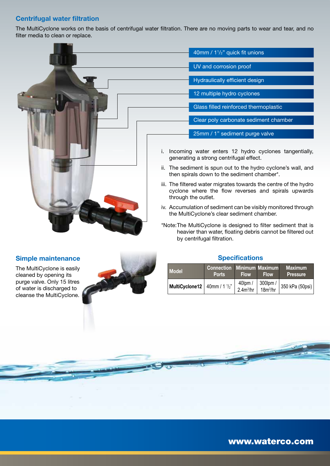## Centrifugal water filtration

The MultiCyclone works on the basis of centrifugal water filtration. There are no moving parts to wear and tear, and no filter media to clean or replace.



## Simple maintenance

The MultiCyclone is easily cleaned by opening its purge valve. Only 15 litres of water is discharged to cleanse the MultiCyclone.



## **Specifications**

| <b>Model</b>                                                                                                  | <b>Connection Minimum Maximum</b><br><b>Ports</b> | <b>Flow</b> | <b>Flow</b> | <b>Maximum</b><br><b>Pressure</b> |
|---------------------------------------------------------------------------------------------------------------|---------------------------------------------------|-------------|-------------|-----------------------------------|
| <b>MultiCyclone12</b> 40mm / 1 $\frac{1}{2}$ 40lpm / 300lpm / 1<br>2.4m <sup>3</sup> /hr 18m <sup>3</sup> /hr |                                                   |             |             | . │350 kPa (50psi)│               |